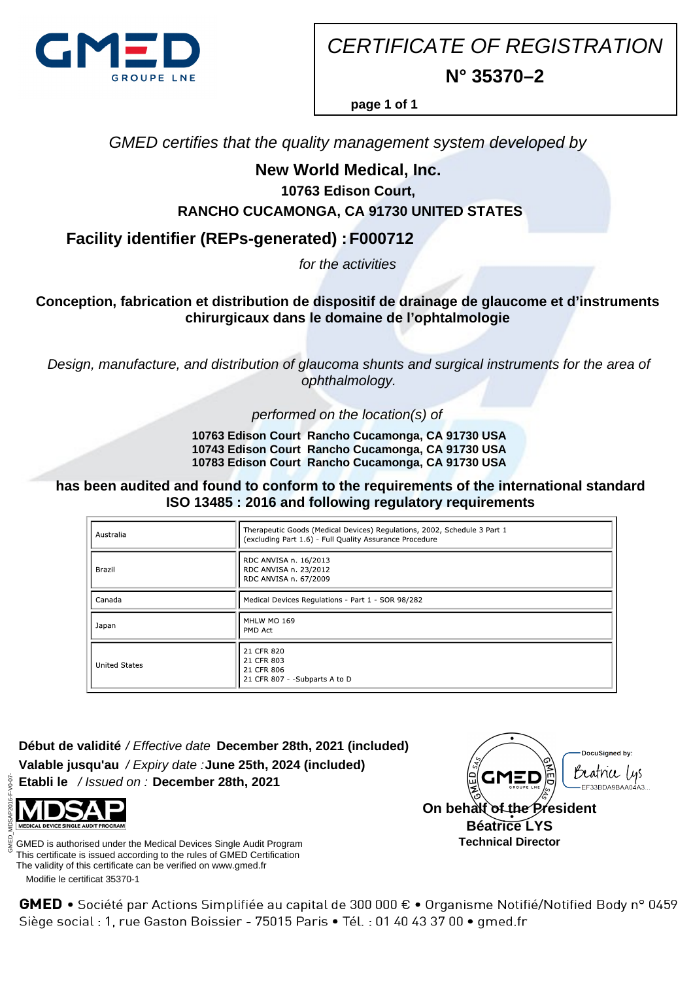

CERTIFICATE OF REGISTRATION **N° 35370–2**

**page 1 of 1**

GMED certifies that the quality management system developed by

## **New World Medical, Inc.**

**10763 Edison Court,**

 **RANCHO CUCAMONGA, CA 91730 UNITED STATES**

**Facility identifier (REPs-generated) : F000712**

for the activities

**Conception, fabrication et distribution de dispositif de drainage de glaucome et d'instruments chirurgicaux dans le domaine de l'ophtalmologie**

Design, manufacture, and distribution of glaucoma shunts and surgical instruments for the area of ophthalmology.

performed on the location(s) of

 **10763 Edison Court Rancho Cucamonga, CA 91730 USA 10743 Edison Court Rancho Cucamonga, CA 91730 USA 10783 Edison Court Rancho Cucamonga, CA 91730 USA**

**has been audited and found to conform to the requirements of the international standard ISO 13485 : 2016 and following regulatory requirements**

| Australia            | Therapeutic Goods (Medical Devices) Regulations, 2002, Schedule 3 Part 1<br>(excluding Part 1.6) - Full Quality Assurance Procedure |
|----------------------|-------------------------------------------------------------------------------------------------------------------------------------|
| Brazil               | RDC ANVISA n. 16/2013<br>RDC ANVISA n. 23/2012<br>RDC ANVISA n. 67/2009                                                             |
| Canada               | Medical Devices Regulations - Part 1 - SOR 98/282                                                                                   |
| Japan                | MHLW MO 169<br>PMD Act                                                                                                              |
| <b>United States</b> | 21 CFR 820<br>21 CFR 803<br>21 CFR 806<br>21 CFR 807 - -Subparts A to D                                                             |

**Début de validité** / Effective date **December 28th, 2021 (included) Valable jusqu'au** / Expiry date : **June 25th, 2024 (included) Etabli le** / Issued on : **December 28th, 2021**



 Modifie le certificat 35370-1 GMED is authorised under the Medical Devices Single Audit Program This certificate is issued according to the rules of GMED Certification The validity of this certificate can be verified on www.gmed.fr



GMED • Société par Actions Simplifiée au capital de 300 000 € • Organisme Notifié/Notified Body n° 0459 Siège social : 1, rue Gaston Boissier - 75015 Paris · Tél. : 01 40 43 37 00 · gmed.fr